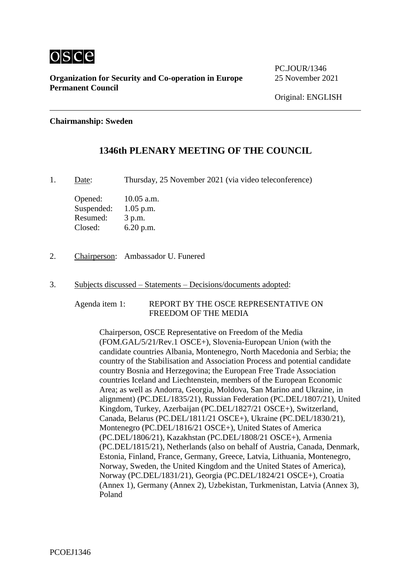

**Organization for Security and Co-operation in Europe** 25 November 2021 **Permanent Council**

#### **Chairmanship: Sweden**

# **1346th PLENARY MEETING OF THE COUNCIL**

1. Date: Thursday, 25 November 2021 (via video teleconference)

Opened: 10.05 a.m. Suspended: 1.05 p.m. Resumed: 3 p.m. Closed: 6.20 p.m.

- 2. Chairperson: Ambassador U. Funered
- 3. Subjects discussed Statements Decisions/documents adopted:

Agenda item 1: REPORT BY THE OSCE REPRESENTATIVE ON FREEDOM OF THE MEDIA

Chairperson, OSCE Representative on Freedom of the Media (FOM.GAL/5/21/Rev.1 OSCE+), Slovenia‑European Union (with the candidate countries Albania, Montenegro, North Macedonia and Serbia; the country of the Stabilisation and Association Process and potential candidate country Bosnia and Herzegovina; the European Free Trade Association countries Iceland and Liechtenstein, members of the European Economic Area; as well as Andorra, Georgia, Moldova, San Marino and Ukraine, in alignment) (PC.DEL/1835/21), Russian Federation (PC.DEL/1807/21), United Kingdom, Turkey, Azerbaijan (PC.DEL/1827/21 OSCE+), Switzerland, Canada, Belarus (PC.DEL/1811/21 OSCE+), Ukraine (PC.DEL/1830/21), Montenegro (PC.DEL/1816/21 OSCE+), United States of America (PC.DEL/1806/21), Kazakhstan (PC.DEL/1808/21 OSCE+), Armenia (PC.DEL/1815/21), Netherlands (also on behalf of Austria, Canada, Denmark, Estonia, Finland, France, Germany, Greece, Latvia, Lithuania, Montenegro, Norway, Sweden, the United Kingdom and the United States of America), Norway (PC.DEL/1831/21), Georgia (PC.DEL/1824/21 OSCE+), Croatia (Annex 1), Germany (Annex 2), Uzbekistan, Turkmenistan, Latvia (Annex 3), Poland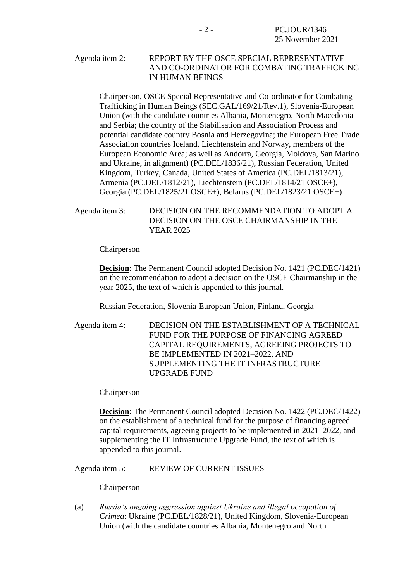#### Agenda item 2: REPORT BY THE OSCE SPECIAL REPRESENTATIVE AND CO-ORDINATOR FOR COMBATING TRAFFICKING IN HUMAN BEINGS

Chairperson, OSCE Special Representative and Co-ordinator for Combating Trafficking in Human Beings (SEC.GAL/169/21/Rev.1), Slovenia-European Union (with the candidate countries Albania, Montenegro, North Macedonia and Serbia; the country of the Stabilisation and Association Process and potential candidate country Bosnia and Herzegovina; the European Free Trade Association countries Iceland, Liechtenstein and Norway, members of the European Economic Area; as well as Andorra, Georgia, Moldova, San Marino and Ukraine, in alignment) (PC.DEL/1836/21), Russian Federation, United Kingdom, Turkey, Canada, United States of America (PC.DEL/1813/21), Armenia (PC.DEL/1812/21), Liechtenstein (PC.DEL/1814/21 OSCE+), Georgia (PC.DEL/1825/21 OSCE+), Belarus (PC.DEL/1823/21 OSCE+)

#### Agenda item 3: DECISION ON THE RECOMMENDATION TO ADOPT A DECISION ON THE OSCE CHAIRMANSHIP IN THE YEAR 2025

Chairperson

**Decision**: The Permanent Council adopted Decision No. 1421 (PC.DEC/1421) on the recommendation to adopt a decision on the OSCE Chairmanship in the year 2025, the text of which is appended to this journal.

Russian Federation, Slovenia-European Union, Finland, Georgia

Agenda item 4: DECISION ON THE ESTABLISHMENT OF A TECHNICAL FUND FOR THE PURPOSE OF FINANCING AGREED CAPITAL REQUIREMENTS, AGREEING PROJECTS TO BE IMPLEMENTED IN 2021–2022, AND SUPPLEMENTING THE IT INFRASTRUCTURE UPGRADE FUND

Chairperson

**Decision**: The Permanent Council adopted Decision No. 1422 (PC.DEC/1422) on the establishment of a technical fund for the purpose of financing agreed capital requirements, agreeing projects to be implemented in 2021–2022, and supplementing the IT Infrastructure Upgrade Fund, the text of which is appended to this journal.

Agenda item 5: REVIEW OF CURRENT ISSUES

Chairperson

(a) *Russia's ongoing aggression against Ukraine and illegal occupation of Crimea*: Ukraine (PC.DEL/1828/21), United Kingdom, Slovenia-European Union (with the candidate countries Albania, Montenegro and North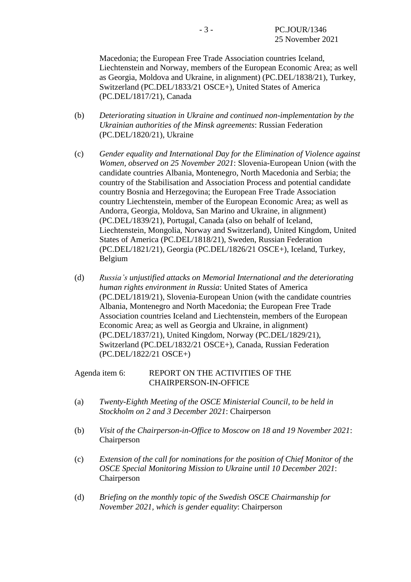Macedonia; the European Free Trade Association countries Iceland, Liechtenstein and Norway, members of the European Economic Area; as well as Georgia, Moldova and Ukraine, in alignment) (PC.DEL/1838/21), Turkey, Switzerland (PC.DEL/1833/21 OSCE+), United States of America (PC.DEL/1817/21), Canada

- (b) *Deteriorating situation in Ukraine and continued non-implementation by the Ukrainian authorities of the Minsk agreements*: Russian Federation (PC.DEL/1820/21), Ukraine
- (c) *Gender equality and International Day for the Elimination of Violence against Women, observed on 25 November 2021*: Slovenia-European Union (with the candidate countries Albania, Montenegro, North Macedonia and Serbia; the country of the Stabilisation and Association Process and potential candidate country Bosnia and Herzegovina; the European Free Trade Association country Liechtenstein, member of the European Economic Area; as well as Andorra, Georgia, Moldova, San Marino and Ukraine, in alignment) (PC.DEL/1839/21), Portugal, Canada (also on behalf of Iceland, Liechtenstein, Mongolia, Norway and Switzerland), United Kingdom, United States of America (PC.DEL/1818/21), Sweden, Russian Federation (PC.DEL/1821/21), Georgia (PC.DEL/1826/21 OSCE+), Iceland, Turkey, Belgium
- (d) *Russia's unjustified attacks on Memorial International and the deteriorating human rights environment in Russia*: United States of America (PC.DEL/1819/21), Slovenia-European Union (with the candidate countries Albania, Montenegro and North Macedonia; the European Free Trade Association countries Iceland and Liechtenstein, members of the European Economic Area; as well as Georgia and Ukraine, in alignment) (PC.DEL/1837/21), United Kingdom, Norway (PC.DEL/1829/21), Switzerland (PC.DEL/1832/21 OSCE+), Canada, Russian Federation (PC.DEL/1822/21 OSCE+)

#### Agenda item 6: REPORT ON THE ACTIVITIES OF THE CHAIRPERSON-IN-OFFICE

- (a) *Twenty-Eighth Meeting of the OSCE Ministerial Council, to be held in Stockholm on 2 and 3 December 2021*: Chairperson
- (b) *Visit of the Chairperson-in-Office to Moscow on 18 and 19 November 2021*: Chairperson
- (c) *Extension of the call for nominations for the position of Chief Monitor of the OSCE Special Monitoring Mission to Ukraine until 10 December 2021*: Chairperson
- (d) *Briefing on the monthly topic of the Swedish OSCE Chairmanship for November 2021, which is gender equality*: Chairperson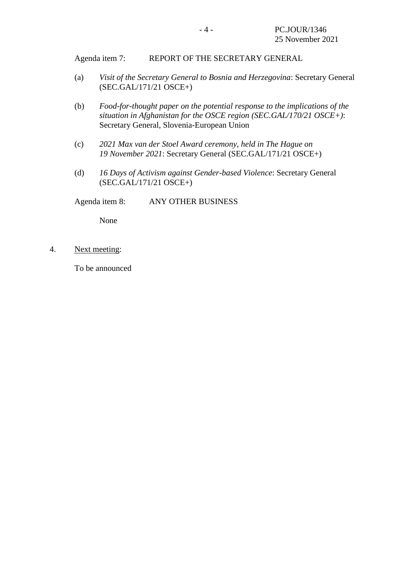Agenda item 7: REPORT OF THE SECRETARY GENERAL

- (a) *Visit of the Secretary General to Bosnia and Herzegovina*: Secretary General (SEC.GAL/171/21 OSCE+)
- (b) *Food-for-thought paper on the potential response to the implications of the situation in Afghanistan for the OSCE region (SEC.GAL/170/21 OSCE+)*: Secretary General, Slovenia-European Union
- (c) *2021 Max van der Stoel Award ceremony, held in The Hague on 19 November 2021*: Secretary General (SEC.GAL/171/21 OSCE+)
- (d) *16 Days of Activism against Gender-based Violence*: Secretary General (SEC.GAL/171/21 OSCE+)

Agenda item 8: ANY OTHER BUSINESS

None

4. Next meeting:

To be announced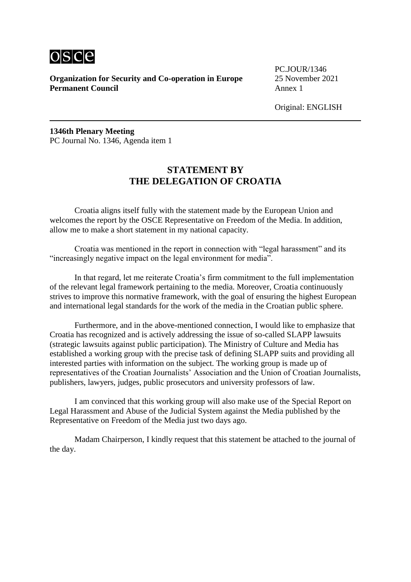

**Organization for Security and Co-operation in Europe** 25 November 2021 **Permanent Council** Annex 1

PC.JOUR/1346

Original: ENGLISH

**1346th Plenary Meeting** PC Journal No. 1346, Agenda item 1

## **STATEMENT BY THE DELEGATION OF CROATIA**

Croatia aligns itself fully with the statement made by the European Union and welcomes the report by the OSCE Representative on Freedom of the Media. In addition, allow me to make a short statement in my national capacity.

Croatia was mentioned in the report in connection with "legal harassment" and its "increasingly negative impact on the legal environment for media".

In that regard, let me reiterate Croatia's firm commitment to the full implementation of the relevant legal framework pertaining to the media. Moreover, Croatia continuously strives to improve this normative framework, with the goal of ensuring the highest European and international legal standards for the work of the media in the Croatian public sphere.

Furthermore, and in the above-mentioned connection, I would like to emphasize that Croatia has recognized and is actively addressing the issue of so-called SLAPP lawsuits (strategic lawsuits against public participation). The Ministry of Culture and Media has established a working group with the precise task of defining SLAPP suits and providing all interested parties with information on the subject. The working group is made up of representatives of the Croatian Journalists' Association and the Union of Croatian Journalists, publishers, lawyers, judges, public prosecutors and university professors of law.

I am convinced that this working group will also make use of the Special Report on Legal Harassment and Abuse of the Judicial System against the Media published by the Representative on Freedom of the Media just two days ago.

Madam Chairperson, I kindly request that this statement be attached to the journal of the day.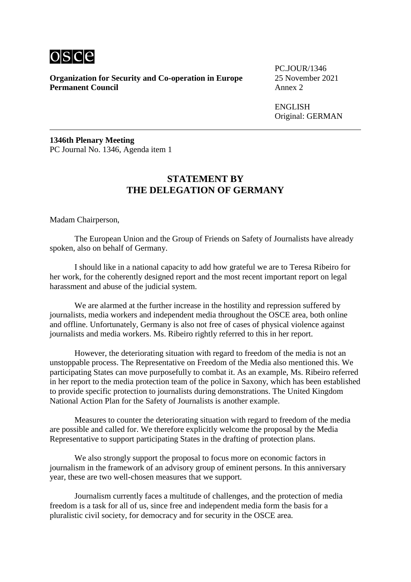

**Organization for Security and Co-operation in Europe** 25 November 2021 **Permanent Council** Annex 2

PC.JOUR/1346

**ENGLISH** Original: GERMAN

**1346th Plenary Meeting** PC Journal No. 1346, Agenda item 1

### **STATEMENT BY THE DELEGATION OF GERMANY**

Madam Chairperson,

The European Union and the Group of Friends on Safety of Journalists have already spoken, also on behalf of Germany.

I should like in a national capacity to add how grateful we are to Teresa Ribeiro for her work, for the coherently designed report and the most recent important report on legal harassment and abuse of the judicial system.

We are alarmed at the further increase in the hostility and repression suffered by journalists, media workers and independent media throughout the OSCE area, both online and offline. Unfortunately, Germany is also not free of cases of physical violence against journalists and media workers. Ms. Ribeiro rightly referred to this in her report.

However, the deteriorating situation with regard to freedom of the media is not an unstoppable process. The Representative on Freedom of the Media also mentioned this. We participating States can move purposefully to combat it. As an example, Ms. Ribeiro referred in her report to the media protection team of the police in Saxony, which has been established to provide specific protection to journalists during demonstrations. The United Kingdom National Action Plan for the Safety of Journalists is another example.

Measures to counter the deteriorating situation with regard to freedom of the media are possible and called for. We therefore explicitly welcome the proposal by the Media Representative to support participating States in the drafting of protection plans.

We also strongly support the proposal to focus more on economic factors in journalism in the framework of an advisory group of eminent persons. In this anniversary year, these are two well-chosen measures that we support.

Journalism currently faces a multitude of challenges, and the protection of media freedom is a task for all of us, since free and independent media form the basis for a pluralistic civil society, for democracy and for security in the OSCE area.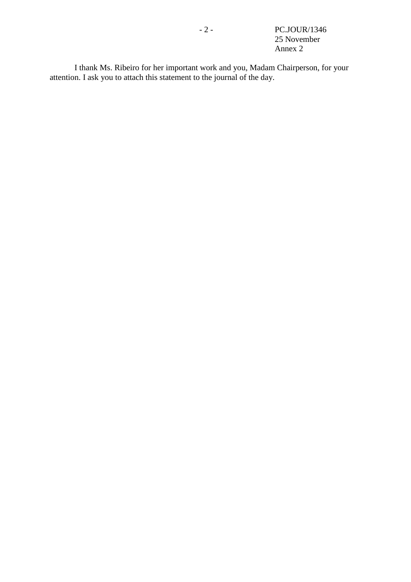- 2 - PC.JOUR/1346 25 November Annex 2

I thank Ms. Ribeiro for her important work and you, Madam Chairperson, for your attention. I ask you to attach this statement to the journal of the day.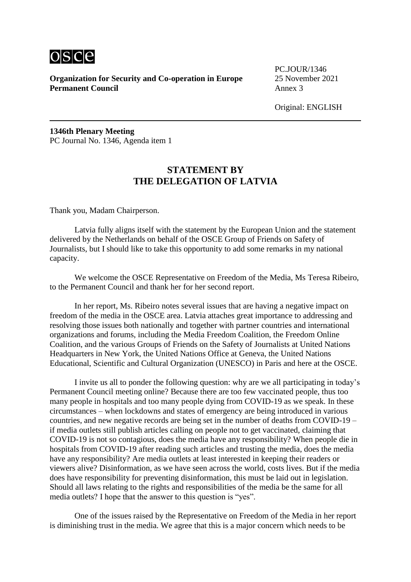

**Organization for Security and Co-operation in Europe** 25 November 2021 **Permanent Council** Annex 3

PC.JOUR/1346

Original: ENGLISH

**1346th Plenary Meeting** PC Journal No. 1346, Agenda item 1

## **STATEMENT BY THE DELEGATION OF LATVIA**

Thank you, Madam Chairperson.

Latvia fully aligns itself with the statement by the European Union and the statement delivered by the Netherlands on behalf of the OSCE Group of Friends on Safety of Journalists, but I should like to take this opportunity to add some remarks in my national capacity.

We welcome the OSCE Representative on Freedom of the Media, Ms Teresa Ribeiro, to the Permanent Council and thank her for her second report.

In her report, Ms. Ribeiro notes several issues that are having a negative impact on freedom of the media in the OSCE area. Latvia attaches great importance to addressing and resolving those issues both nationally and together with partner countries and international organizations and forums, including the Media Freedom Coalition, the Freedom Online Coalition, and the various Groups of Friends on the Safety of Journalists at United Nations Headquarters in New York, the United Nations Office at Geneva, the United Nations Educational, Scientific and Cultural Organization (UNESCO) in Paris and here at the OSCE.

I invite us all to ponder the following question: why are we all participating in today's Permanent Council meeting online? Because there are too few vaccinated people, thus too many people in hospitals and too many people dying from COVID-19 as we speak. In these circumstances – when lockdowns and states of emergency are being introduced in various countries, and new negative records are being set in the number of deaths from COVID-19 – if media outlets still publish articles calling on people not to get vaccinated, claiming that COVID-19 is not so contagious, does the media have any responsibility? When people die in hospitals from COVID-19 after reading such articles and trusting the media, does the media have any responsibility? Are media outlets at least interested in keeping their readers or viewers alive? Disinformation, as we have seen across the world, costs lives. But if the media does have responsibility for preventing disinformation, this must be laid out in legislation. Should all laws relating to the rights and responsibilities of the media be the same for all media outlets? I hope that the answer to this question is "yes".

One of the issues raised by the Representative on Freedom of the Media in her report is diminishing trust in the media. We agree that this is a major concern which needs to be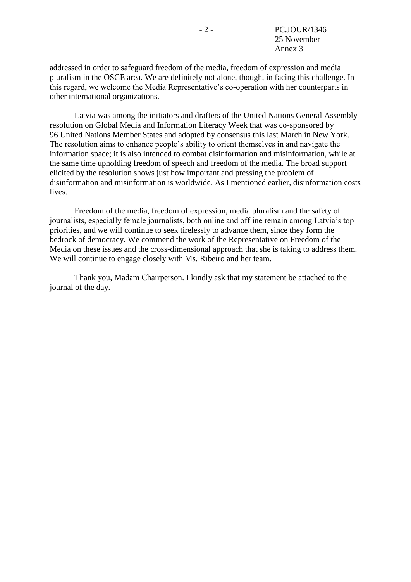addressed in order to safeguard freedom of the media, freedom of expression and media pluralism in the OSCE area. We are definitely not alone, though, in facing this challenge. In this regard, we welcome the Media Representative's co-operation with her counterparts in other international organizations.

Latvia was among the initiators and drafters of the United Nations General Assembly resolution on Global Media and Information Literacy Week that was co-sponsored by 96 United Nations Member States and adopted by consensus this last March in New York. The resolution aims to enhance people's ability to orient themselves in and navigate the information space; it is also intended to combat disinformation and misinformation, while at the same time upholding freedom of speech and freedom of the media. The broad support elicited by the resolution shows just how important and pressing the problem of disinformation and misinformation is worldwide. As I mentioned earlier, disinformation costs lives.

Freedom of the media, freedom of expression, media pluralism and the safety of journalists, especially female journalists, both online and offline remain among Latvia's top priorities, and we will continue to seek tirelessly to advance them, since they form the bedrock of democracy. We commend the work of the Representative on Freedom of the Media on these issues and the cross-dimensional approach that she is taking to address them. We will continue to engage closely with Ms. Ribeiro and her team.

Thank you, Madam Chairperson. I kindly ask that my statement be attached to the journal of the day.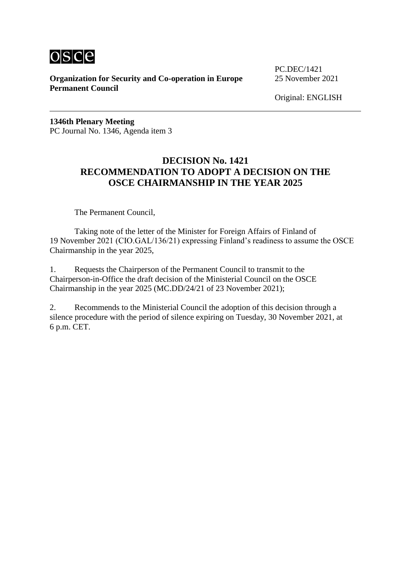

**Organization for Security and Co-operation in Europe** 25 November 2021 **Permanent Council**

PC.DEC/1421

Original: ENGLISH

**1346th Plenary Meeting** PC Journal No. 1346, Agenda item 3

## **DECISION No. 1421 RECOMMENDATION TO ADOPT A DECISION ON THE OSCE CHAIRMANSHIP IN THE YEAR 2025**

The Permanent Council,

Taking note of the letter of the Minister for Foreign Affairs of Finland of 19 November 2021 (CIO.GAL/136/21) expressing Finland's readiness to assume the OSCE Chairmanship in the year 2025,

1. Requests the Chairperson of the Permanent Council to transmit to the Chairperson-in-Office the draft decision of the Ministerial Council on the OSCE Chairmanship in the year 2025 (MC.DD/24/21 of 23 November 2021);

2. Recommends to the Ministerial Council the adoption of this decision through a silence procedure with the period of silence expiring on Tuesday, 30 November 2021, at 6 p.m. CET.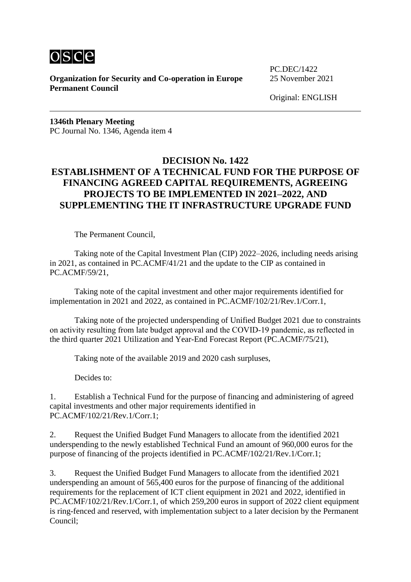

**Organization for Security and Co-operation in Europe** 25 November 2021 **Permanent Council**

PC.DEC/1422

Original: ENGLISH

**1346th Plenary Meeting** PC Journal No. 1346, Agenda item 4

# **DECISION No. 1422 ESTABLISHMENT OF A TECHNICAL FUND FOR THE PURPOSE OF FINANCING AGREED CAPITAL REQUIREMENTS, AGREEING PROJECTS TO BE IMPLEMENTED IN 2021–2022, AND SUPPLEMENTING THE IT INFRASTRUCTURE UPGRADE FUND**

The Permanent Council,

Taking note of the Capital Investment Plan (CIP) 2022–2026, including needs arising in 2021, as contained in PC.ACMF/41/21 and the update to the CIP as contained in PC.ACMF/59/21,

Taking note of the capital investment and other major requirements identified for implementation in 2021 and 2022, as contained in PC.ACMF/102/21/Rev.1/Corr.1,

Taking note of the projected underspending of Unified Budget 2021 due to constraints on activity resulting from late budget approval and the COVID-19 pandemic, as reflected in the third quarter 2021 Utilization and Year-End Forecast Report (PC.ACMF/75/21),

Taking note of the available 2019 and 2020 cash surpluses,

Decides to:

1. Establish a Technical Fund for the purpose of financing and administering of agreed capital investments and other major requirements identified in PC.ACMF/102/21/Rev.1/Corr.1;

2. Request the Unified Budget Fund Managers to allocate from the identified 2021 underspending to the newly established Technical Fund an amount of 960,000 euros for the purpose of financing of the projects identified in PC.ACMF/102/21/Rev.1/Corr.1;

3. Request the Unified Budget Fund Managers to allocate from the identified 2021 underspending an amount of 565,400 euros for the purpose of financing of the additional requirements for the replacement of ICT client equipment in 2021 and 2022, identified in PC.ACMF/102/21/Rev.1/Corr.1, of which 259,200 euros in support of 2022 client equipment is ring-fenced and reserved, with implementation subject to a later decision by the Permanent Council;